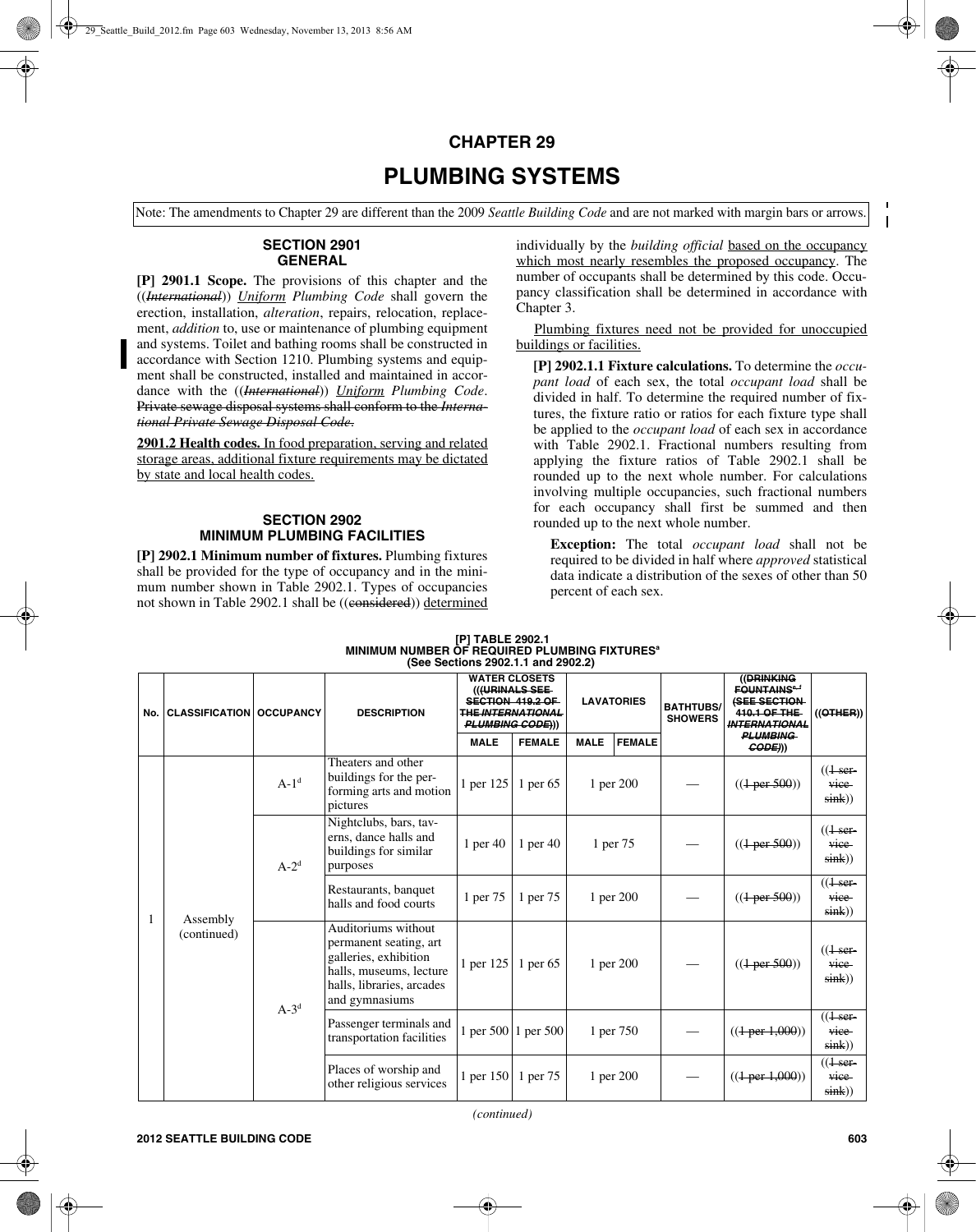# **CHAPTER 29**

# **PLUMBING SYSTEMS**

Note: The amendments to Chapter 29 are different than the 2009 *Seattle Building Code* and are not marked with margin bars or arrows.

#### **SECTION 2901 GENERAL**

**[P] 2901.1 Scope.** The provisions of this chapter and the ((*International*)) *Uniform Plumbing Code* shall govern the erection, installation, *alteration*, repairs, relocation, replacement, *addition* to, use or maintenance of plumbing equipment and systems. Toilet and bathing rooms shall be constructed in accordance with Section 1210. Plumbing systems and equipment shall be constructed, installed and maintained in accordance with the ((*International*)) *Uniform Plumbing Code*. Private sewage disposal systems shall conform to the *International Private Sewage Disposal Code*.

**2901.2 Health codes.** In food preparation, serving and related storage areas, additional fixture requirements may be dictated by state and local health codes.

### **SECTION 2902 MINIMUM PLUMBING FACILITIES**

**[P] 2902.1 Minimum number of fixtures.** Plumbing fixtures shall be provided for the type of occupancy and in the minimum number shown in Table 2902.1. Types of occupancies not shown in Table 2902.1 shall be ((considered)) determined individually by the *building official* based on the occupancy which most nearly resembles the proposed occupancy. The number of occupants shall be determined by this code. Occupancy classification shall be determined in accordance with Chapter 3.

 Plumbing fixtures need not be provided for unoccupied buildings or facilities.

**[P] 2902.1.1 Fixture calculations.** To determine the *occupant load* of each sex, the total *occupant load* shall be divided in half. To determine the required number of fixtures, the fixture ratio or ratios for each fixture type shall be applied to the *occupant load* of each sex in accordance with Table 2902.1. Fractional numbers resulting from applying the fixture ratios of Table 2902.1 shall be rounded up to the next whole number. For calculations involving multiple occupancies, such fractional numbers for each occupancy shall first be summed and then rounded up to the next whole number.

**Exception:** The total *occupant load* shall not be required to be divided in half where *approved* statistical data indicate a distribution of the sexes of other than 50 percent of each sex.

| (See Sections 2902.1.1 and 2902.2) |                                   |         |                                                                                                                                                  |                                                                                                                  |                     |                   |               |                                    |                                                                                                                |                                           |
|------------------------------------|-----------------------------------|---------|--------------------------------------------------------------------------------------------------------------------------------------------------|------------------------------------------------------------------------------------------------------------------|---------------------|-------------------|---------------|------------------------------------|----------------------------------------------------------------------------------------------------------------|-------------------------------------------|
| No.                                | <b>CLASSIFICATION   OCCUPANCY</b> |         | <b>DESCRIPTION</b>                                                                                                                               | <b>WATER CLOSETS</b><br>(((URINALS SEE<br>SECTION 419.2 OF<br><b>THE INTERNATIONAL</b><br><b>PLUMBING CODE))</b> |                     | <b>LAVATORIES</b> |               | <b>BATHTUBS/</b><br><b>SHOWERS</b> | ((DRINKING<br><b>FOUNTAINS</b> <sup>e, f</sup><br><b>(SEE SECTION-</b><br>410.1 OF THE<br><b>INTERNATIONAL</b> | $((\theta$ THER)                          |
|                                    |                                   |         |                                                                                                                                                  | <b>MALE</b>                                                                                                      | <b>FEMALE</b>       | <b>MALE</b>       | <b>FEMALE</b> |                                    | <b>PLUMBING</b><br>(CODE))                                                                                     |                                           |
|                                    | Assembly<br>(continued)           | $A-1d$  | Theaters and other<br>buildings for the per-<br>forming arts and motion<br>pictures                                                              | 1 per 125                                                                                                        | 1 per 65            | 1 per 200         |               |                                    | $((1-per-500))$                                                                                                | $((1 - \sec^{-1}))$<br>vice<br>sink)      |
|                                    |                                   | $A-2^d$ | Nightclubs, bars, tav-<br>erns, dance halls and<br>buildings for similar<br>purposes                                                             | 1 per $40$                                                                                                       | 1 per $40$          | 1 per 75          |               |                                    | $((1-per-500))$                                                                                                | $((1 - \sec^{-1}))$<br>vice<br>sink)      |
|                                    |                                   |         | Restaurants, banquet<br>halls and food courts                                                                                                    | 1 per 75                                                                                                         | 1 per 75            | 1 per 200         |               |                                    | $((1 \text{ per } 500))$                                                                                       | $((1 - \sec^{-1}))$<br>vice<br>$sin(k)$ ) |
|                                    |                                   | $A-3^d$ | Auditoriums without<br>permanent seating, art<br>galleries, exhibition<br>halls, museums, lecture<br>halls, libraries, arcades<br>and gymnasiums | 1 per 125                                                                                                        | 1 per 65            | 1 per 200         |               |                                    | $((1-per 500))$                                                                                                | $((1ser-$<br>vice<br>sink)                |
|                                    |                                   |         | Passenger terminals and<br>transportation facilities                                                                                             |                                                                                                                  | 1 per 500 1 per 500 |                   | 1 per 750     |                                    | $((1-per1,000))$                                                                                               | $((1ser-$<br>vice<br>$sin(k)$ )           |
|                                    |                                   |         | Places of worship and<br>other religious services                                                                                                | 1 per 150   1 per 75                                                                                             |                     |                   | 1 per 200     |                                    | $((1-per1,000))$                                                                                               | ((1.1)<br>vice<br>$sin(k)$ )              |

## **[P] TABLE 2902.1 MINIMUM NUMBER OF REQUIRED PLUMBING FIXTURESa**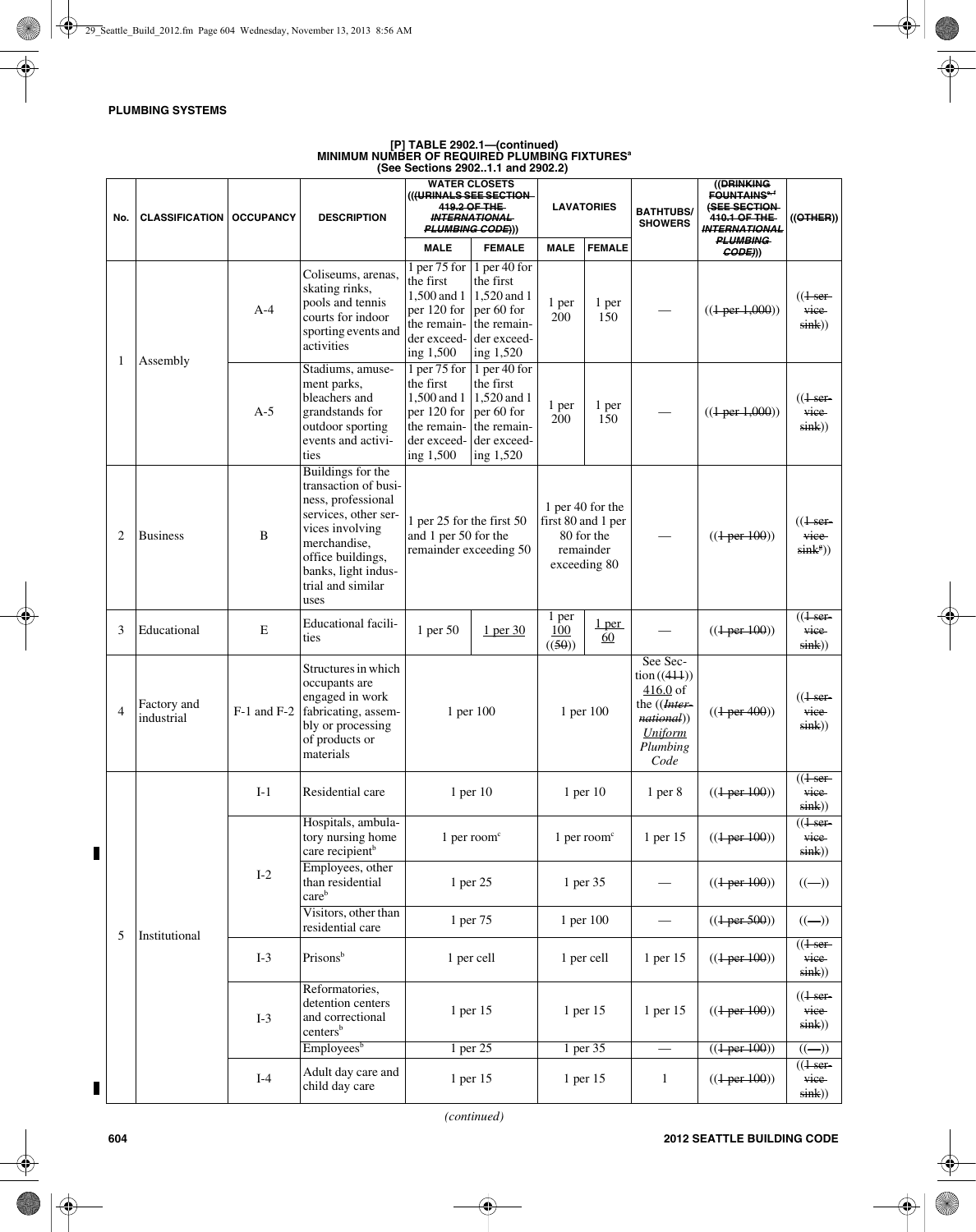# **[P] TABLE 2902.1—(continued) MINIMUM NUMBER OF REQUIRED PLUMBING FIXTURESa (See Sections 2902..1.1 and 2902.2)**

| No. | <b>CLASSIFICATION   OCCUPANCY</b> |       | <b>DESCRIPTION</b>                                                                                                                                                                                  | <b>WATER CLOSETS</b><br>(((URINALS SEE SECTION<br>419.2 OF THE<br><b>INTERNATIONAL</b><br>PLUMBING CODE)))                           |                                                                                    | <b>LAVATORIES</b>                                                                 |                    | <b>BATHTUBS/</b><br><b>SHOWERS</b>                                                                 | ((DRINKING<br><b>FOUNTAINS<sup>6,4</sup></b><br>(SEE SECTION-<br>410.1 OF THE<br><b>INTERNATIONAL</b><br><b>PLUMBING</b> | ((OTHER))                                                     |
|-----|-----------------------------------|-------|-----------------------------------------------------------------------------------------------------------------------------------------------------------------------------------------------------|--------------------------------------------------------------------------------------------------------------------------------------|------------------------------------------------------------------------------------|-----------------------------------------------------------------------------------|--------------------|----------------------------------------------------------------------------------------------------|--------------------------------------------------------------------------------------------------------------------------|---------------------------------------------------------------|
|     |                                   |       |                                                                                                                                                                                                     | <b>MALE</b>                                                                                                                          | <b>FEMALE</b>                                                                      | <b>MALE</b>                                                                       | <b>FEMALE</b>      |                                                                                                    | CODE))                                                                                                                   |                                                               |
| 1   | Assembly                          | $A-4$ | Coliseums, arenas,<br>skating rinks,<br>pools and tennis<br>courts for indoor<br>sporting events and<br>activities                                                                                  | 1 per 75 for<br>the first<br>1,500 and 1   1,520 and 1<br>per $120$ for<br>the remain-<br>der exceed-<br>ing 1,500                   | 1 per 40 for<br>the first<br>per 60 for<br>the remain-<br>der exceed-<br>ing 1,520 | 1 per<br>200                                                                      | 1 per<br>150       |                                                                                                    | $((1-per1,000))$                                                                                                         | $((1ser-$<br>vice<br>sink)                                    |
|     |                                   | $A-5$ | Stadiums, amuse-<br>ment parks,<br>bleachers and<br>grandstands for<br>outdoor sporting<br>events and activi-<br>ties                                                                               | 1 per 75 for $\vert$ 1 per 40 for<br>the first<br>1,500 and 1<br>per 120 for $per 60$ for<br>the remain-<br>der exceed-<br>ing 1,500 | the first<br>$1,520$ and 1<br>the remain-<br>der exceed-<br>ing 1,520              | 1 per<br>200                                                                      | 1 per<br>150       |                                                                                                    | $((1-per1,000))$                                                                                                         | $((1ser-$<br>vice<br>$sin(k)$ )                               |
| 2   | <b>Business</b>                   | B     | Buildings for the<br>transaction of busi-<br>ness, professional<br>services, other ser-<br>vices involving<br>merchandise,<br>office buildings,<br>banks, light indus-<br>trial and similar<br>uses | 1 per 25 for the first 50<br>and 1 per 50 for the<br>remainder exceeding 50                                                          |                                                                                    | 1 per 40 for the<br>first 80 and 1 per<br>80 for the<br>remainder<br>exceeding 80 |                    |                                                                                                    | $((1-per100))$                                                                                                           | $(1$ ser-<br>vice<br>$\sin k^{\circ})$                        |
| 3   | Educational                       | E     | <b>Educational</b> facili-<br>ties                                                                                                                                                                  | 1 per 50                                                                                                                             | 1 per 30                                                                           | 1 per<br>100<br>((50))                                                            | <u>l per</u><br>60 |                                                                                                    | $((1-per100))$                                                                                                           | ((1ser<br>vice<br>sin(k))                                     |
| 4   | Factory and<br>industrial         |       | Structures in which<br>occupants are<br>engaged in work<br>F-1 and F-2 fabricating, assem-<br>bly or processing<br>of products or<br>materials                                                      | 1 per 100                                                                                                                            |                                                                                    | 1 per 100                                                                         |                    | See Sec-<br>tion((414))<br>$416.0$ of<br>the ((Inter-<br>national))<br>Uniform<br>Plumbing<br>Code | $((1-per 400))$                                                                                                          | $((1 - \epsilon)^2)$<br>vice<br>sin(k))                       |
|     |                                   | $I-1$ | Residential care                                                                                                                                                                                    | $1$ per $10$                                                                                                                         |                                                                                    | $1$ per $10$                                                                      |                    | 1 <sub>per</sub> 8                                                                                 | $((1-per100))$                                                                                                           | ((1ser<br>vice<br>$sin(k)$ )                                  |
| 5   | Institutional                     | $I-2$ | Hospitals, ambula-<br>tory nursing home<br>care recipient <sup>b</sup>                                                                                                                              | 1 per room $c$                                                                                                                       |                                                                                    | $1$ per room <sup><math>\degree</math></sup>                                      |                    | 1 per 15                                                                                           | $((1-per 100))$                                                                                                          | $((1 - \epsilon)^2)$<br>vice<br>sink)                         |
|     |                                   |       | Employees, other<br>than residential<br>care <sup>b</sup>                                                                                                                                           | 1 per 25                                                                                                                             |                                                                                    | 1 per 35                                                                          |                    |                                                                                                    | $((1-per100))$                                                                                                           | $\left( \left( \begin{matrix} - \end{matrix} \right) \right)$ |
|     |                                   |       | Visitors, other than<br>residential care                                                                                                                                                            | 1 per 75                                                                                                                             |                                                                                    | 1 per 100                                                                         |                    |                                                                                                    | $((1-per 500))$                                                                                                          | $\left( \left( \begin{matrix} - \end{matrix} \right) \right)$ |
|     |                                   | $I-3$ | Prisonsb                                                                                                                                                                                            | 1 per cell                                                                                                                           |                                                                                    | 1 per cell                                                                        |                    | 1 per 15                                                                                           | $((1-per 100))$                                                                                                          | $(1$ ser-<br>vice<br>sink)                                    |
|     |                                   | $I-3$ | Reformatories,<br>detention centers<br>and correctional<br>centers <sup>b</sup>                                                                                                                     | 1 per 15                                                                                                                             |                                                                                    | 1 per 15                                                                          |                    | 1 per 15                                                                                           | $((1-per100))$                                                                                                           | $((1 - \sec^{-1}))$<br>vice<br>sink)                          |
|     |                                   |       | Employees <sup>b</sup>                                                                                                                                                                              |                                                                                                                                      | 1 per 25                                                                           |                                                                                   | 1 per 35           | $\overline{\phantom{0}}$                                                                           | $((1-per100))$                                                                                                           | $\left(\left(-\right)\right)$                                 |
|     |                                   | $I-4$ | Adult day care and<br>child day care                                                                                                                                                                | 1 per 15                                                                                                                             |                                                                                    | 1 per 15                                                                          |                    | $\mathbf{1}$                                                                                       | $((1-per100))$                                                                                                           | $((1ser-$<br>vice<br>sink)                                    |

 $\overline{\phantom{a}}$ 

 $\blacksquare$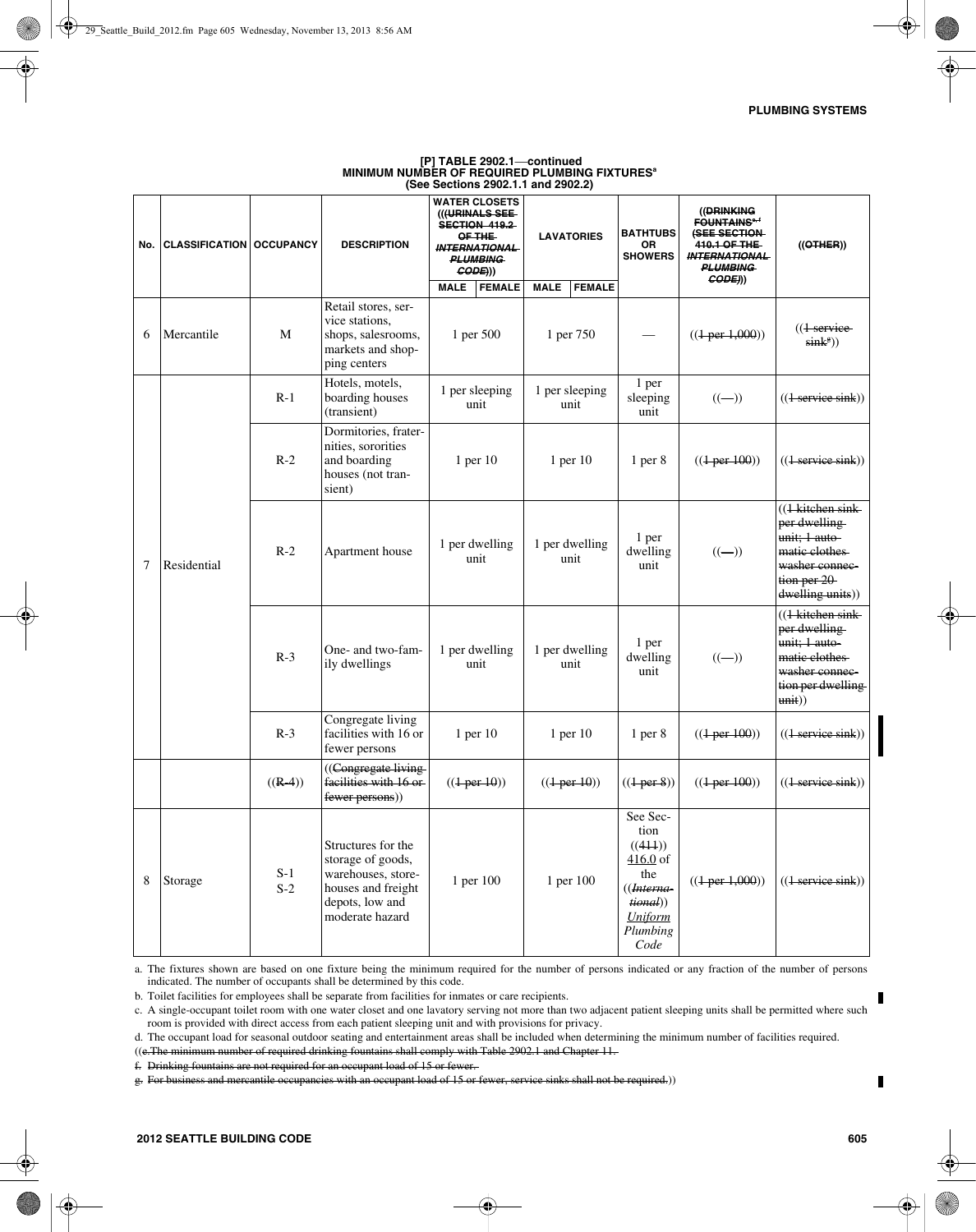| No. | <b>CLASSIFICATION   OCCUPANCY</b> |                | <b>DESCRIPTION</b>                                                                                                        | <b>WATER CLOSETS</b><br>(((URINALS SEE-<br>SECTION 419.2<br>OF THE<br><b>INTERNATIONAL</b><br><b>PLUMBING</b><br>GODE)) | <b>LAVATORIES</b>            | <b>BATHTUBS</b><br><b>OR</b><br><b>SHOWERS</b>                                                                           | ((DRINKING<br><b>FOUNTAINS<sup>6,4</sup></b><br>(SEE SECTION-<br>410.1 OF THE<br><b>INTERNATIONAL</b><br><b>PLUMBING</b><br>CODE))) | $((\theta$ THER)                                                                                                                |
|-----|-----------------------------------|----------------|---------------------------------------------------------------------------------------------------------------------------|-------------------------------------------------------------------------------------------------------------------------|------------------------------|--------------------------------------------------------------------------------------------------------------------------|-------------------------------------------------------------------------------------------------------------------------------------|---------------------------------------------------------------------------------------------------------------------------------|
|     |                                   |                |                                                                                                                           | <b>MALE</b><br><b>FEMALE</b>                                                                                            | <b>MALE</b><br><b>FEMALE</b> |                                                                                                                          |                                                                                                                                     |                                                                                                                                 |
| 6   | Mercantile                        | M              | Retail stores, ser-<br>vice stations,<br>shops, salesrooms,<br>markets and shop-<br>ping centers                          | 1 per 500                                                                                                               | 1 per 750                    |                                                                                                                          | $((1-per1,000))$                                                                                                                    | $((1)$ service<br>$sink^g$ )                                                                                                    |
|     |                                   | $R-1$          | Hotels, motels,<br>boarding houses<br>(transient)                                                                         | 1 per sleeping<br>unit                                                                                                  | 1 per sleeping<br>unit       | 1 per<br>sleeping<br>unit                                                                                                | $((-))$                                                                                                                             | $((1 \text{ service sink}))$                                                                                                    |
| 7   | Residential                       | $R-2$          | Dormitories, frater-<br>nities, sororities<br>and boarding<br>houses (not tran-<br>sient)                                 | $1$ per $10$                                                                                                            | $1$ per $10$                 | 1 <sub>per</sub> 8                                                                                                       | $((1-per100))$                                                                                                                      | $((1 \text{ service sink}))$                                                                                                    |
|     |                                   | $R-2$          | Apartment house                                                                                                           | 1 per dwelling<br>unit                                                                                                  | 1 per dwelling<br>unit       | 1 per<br>dwelling<br>unit                                                                                                | $((-))$                                                                                                                             | $((1 - k)$ kitchen sink<br>per dwelling<br>unit; 1 auto-<br>matic clothes.<br>washer connec-<br>tion per 20<br>dwelling units)) |
|     |                                   | $R-3$          | One- and two-fam-<br>ily dwellings                                                                                        | 1 per dwelling<br>unit                                                                                                  | 1 per dwelling<br>unit       | 1 per<br>dwelling<br>unit                                                                                                | $((-))$                                                                                                                             | ((1 kitchen sink-<br>per dwelling<br>unit; 1 auto-<br>matic clothes.<br>washer connec-<br>tion per dwelling<br>unit()           |
|     |                                   | $R-3$          | Congregate living<br>facilities with 16 or<br>fewer persons                                                               | $1$ per $10$                                                                                                            | $1$ per $10$                 | $1$ per $8$                                                                                                              | $((1-per100))$                                                                                                                      | ((1 service sink))                                                                                                              |
|     |                                   | $((R-4))$      | ((Congregate living<br>facilities with 16 or<br>fewer persons))                                                           | $((1-per10))$                                                                                                           | $((1-per10))$                | $((1 \text{ per } 8))$                                                                                                   | $((1-per100))$                                                                                                                      | $((1 \text{ service sink}))$                                                                                                    |
| 8   | Storage                           | $S-1$<br>$S-2$ | Structures for the<br>storage of goods,<br>warehouses, store-<br>houses and freight<br>depots, low and<br>moderate hazard | 1 per 100                                                                                                               | 1 per 100                    | See Sec-<br>tion<br>((444))<br>$416.0$ of<br>the<br>((Interna-<br><i>tional</i> ))<br><b>Uniform</b><br>Plumbing<br>Code | $((1-per1,000))$                                                                                                                    | $((1 \text{ service sink}))$                                                                                                    |

# **[P] TABLE 2902.1**—**continued MINIMUM NUMBER OF REQUIRED PLUMBING FIXTURESa (See Sections 2902.1.1 and 2902.2)**

a. The fixtures shown are based on one fixture being the minimum required for the number of persons indicated or any fraction of the number of persons indicated. The number of occupants shall be determined by this code.

b. Toilet facilities for employees shall be separate from facilities for inmates or care recipients.

c. A single-occupant toilet room with one water closet and one lavatory serving not more than two adjacent patient sleeping units shall be permitted where such room is provided with direct access from each patient sleeping unit and with provisions for privacy.

d. The occupant load for seasonal outdoor seating and entertainment areas shall be included when determining the minimum number of facilities required.

((e.The minimum number of required drinking fountains shall comply with Table 2902.1 and Chapter 11.

f. Drinking fountains are not required for an occupant load of 15 or fewer.

g. For business and mercantile occupancies with an occupant load of 15 or fewer, service sinks shall not be required.))

П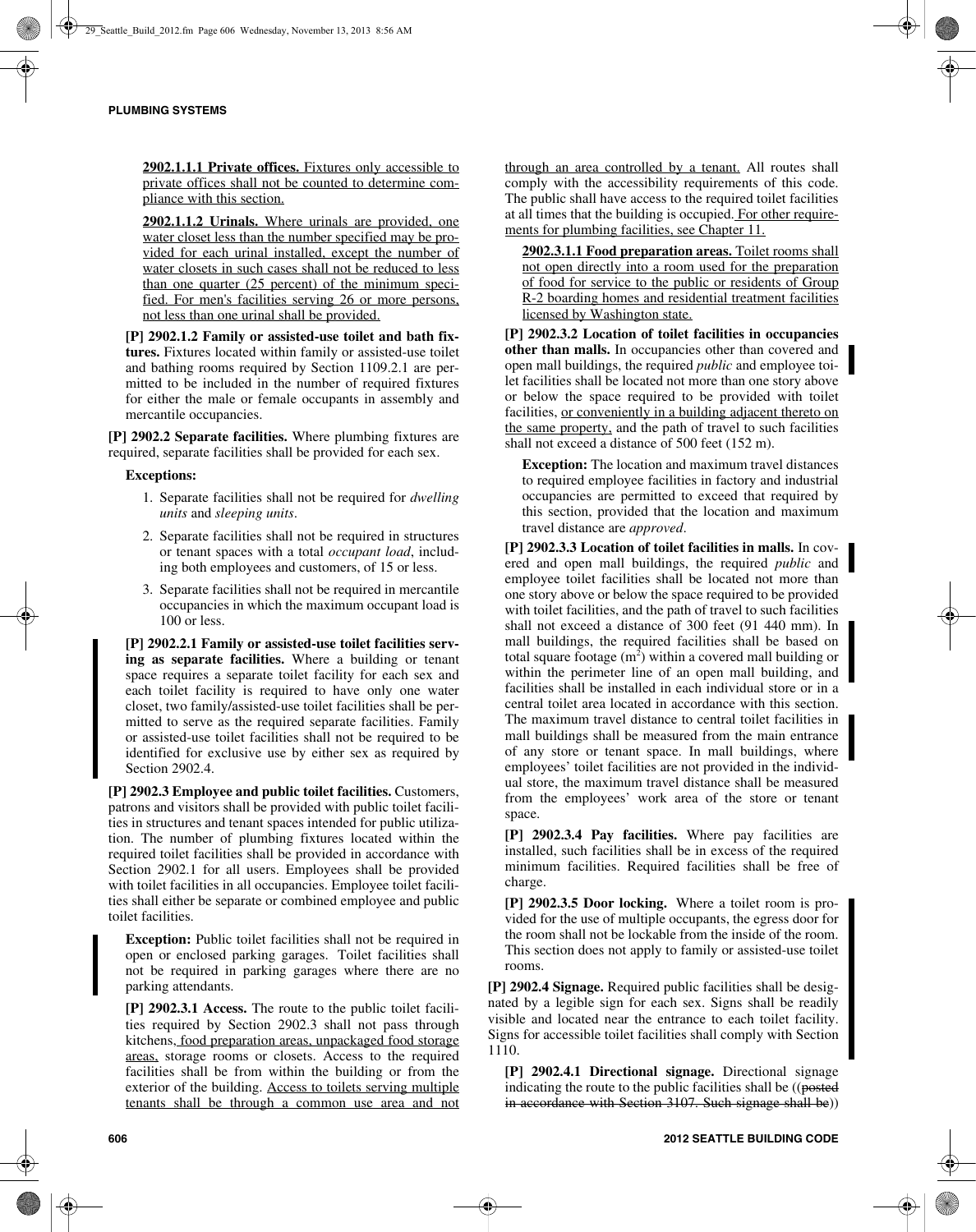**2902.1.1.1 Private offices.** Fixtures only accessible to private offices shall not be counted to determine compliance with this section.

**2902.1.1.2 Urinals.** Where urinals are provided, one water closet less than the number specified may be provided for each urinal installed, except the number of water closets in such cases shall not be reduced to less than one quarter (25 percent) of the minimum specified. For men's facilities serving 26 or more persons, not less than one urinal shall be provided.

**[P] 2902.1.2 Family or assisted-use toilet and bath fixtures.** Fixtures located within family or assisted-use toilet and bathing rooms required by Section 1109.2.1 are permitted to be included in the number of required fixtures for either the male or female occupants in assembly and mercantile occupancies.

**[P] 2902.2 Separate facilities.** Where plumbing fixtures are required, separate facilities shall be provided for each sex.

### **Exceptions:**

- 1. Separate facilities shall not be required for *dwelling units* and *sleeping units*.
- 2. Separate facilities shall not be required in structures or tenant spaces with a total *occupant load*, including both employees and customers, of 15 or less.
- 3. Separate facilities shall not be required in mercantile occupancies in which the maximum occupant load is 100 or less.

**[P] 2902.2.1 Family or assisted-use toilet facilities serving as separate facilities.** Where a building or tenant space requires a separate toilet facility for each sex and each toilet facility is required to have only one water closet, two family/assisted-use toilet facilities shall be permitted to serve as the required separate facilities. Family or assisted-use toilet facilities shall not be required to be identified for exclusive use by either sex as required by Section 2902.4.

**[P] 2902.3 Employee and public toilet facilities.** Customers, patrons and visitors shall be provided with public toilet facilities in structures and tenant spaces intended for public utilization. The number of plumbing fixtures located within the required toilet facilities shall be provided in accordance with Section 2902.1 for all users. Employees shall be provided with toilet facilities in all occupancies. Employee toilet facilities shall either be separate or combined employee and public toilet facilities.

**Exception:** Public toilet facilities shall not be required in open or enclosed parking garages. Toilet facilities shall not be required in parking garages where there are no parking attendants.

**[P] 2902.3.1 Access.** The route to the public toilet facilities required by Section 2902.3 shall not pass through kitchens, food preparation areas, unpackaged food storage areas, storage rooms or closets. Access to the required facilities shall be from within the building or from the exterior of the building. Access to toilets serving multiple tenants shall be through a common use area and not through an area controlled by a tenant. All routes shall comply with the accessibility requirements of this code. The public shall have access to the required toilet facilities at all times that the building is occupied. For other requirements for plumbing facilities, see Chapter 11.

**2902.3.1.1 Food preparation areas.** Toilet rooms shall not open directly into a room used for the preparation of food for service to the public or residents of Group R-2 boarding homes and residential treatment facilities licensed by Washington state.

**[P] 2902.3.2 Location of toilet facilities in occupancies other than malls.** In occupancies other than covered and open mall buildings, the required *public* and employee toilet facilities shall be located not more than one story above or below the space required to be provided with toilet facilities, or conveniently in a building adjacent thereto on the same property, and the path of travel to such facilities shall not exceed a distance of 500 feet (152 m).

**Exception:** The location and maximum travel distances to required employee facilities in factory and industrial occupancies are permitted to exceed that required by this section, provided that the location and maximum travel distance are *approved*.

**[P] 2902.3.3 Location of toilet facilities in malls.** In covered and open mall buildings, the required *public* and employee toilet facilities shall be located not more than one story above or below the space required to be provided with toilet facilities, and the path of travel to such facilities shall not exceed a distance of 300 feet (91 440 mm). In mall buildings, the required facilities shall be based on total square footage  $(m^2)$  within a covered mall building or within the perimeter line of an open mall building, and facilities shall be installed in each individual store or in a central toilet area located in accordance with this section. The maximum travel distance to central toilet facilities in mall buildings shall be measured from the main entrance of any store or tenant space. In mall buildings, where employees' toilet facilities are not provided in the individual store, the maximum travel distance shall be measured from the employees' work area of the store or tenant space.

**[P] 2902.3.4 Pay facilities.** Where pay facilities are installed, such facilities shall be in excess of the required minimum facilities. Required facilities shall be free of charge.

**[P] 2902.3.5 Door locking.** Where a toilet room is provided for the use of multiple occupants, the egress door for the room shall not be lockable from the inside of the room. This section does not apply to family or assisted-use toilet rooms.

**[P] 2902.4 Signage.** Required public facilities shall be designated by a legible sign for each sex. Signs shall be readily visible and located near the entrance to each toilet facility. Signs for accessible toilet facilities shall comply with Section 1110.

**[P] 2902.4.1 Directional signage.** Directional signage indicating the route to the public facilities shall be ((posted in accordance with Section 3107. Such signage shall be))